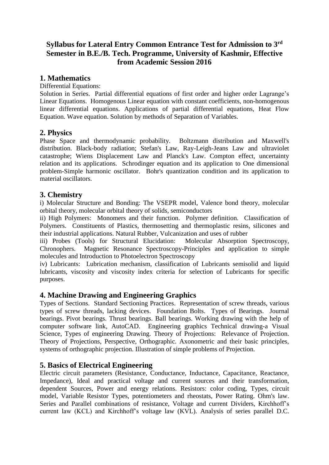# **Syllabus for Lateral Entry Common Entrance Test for Admission to 3rd Semester in B.E./B. Tech. Programme, University of Kashmir, Effective from Academic Session 2016**

## **1. Mathematics**

Differential Equations:

Solution in Series. Partial differential equations of first order and higher order Lagrange's Linear Equations. Homogenous Linear equation with constant coefficients, non-homogenous linear differential equations. Applications of partial differential equations, Heat Flow Equation. Wave equation. Solution by methods of Separation of Variables.

## **2. Physics**

Phase Space and thermodynamic probability. Boltzmann distribution and Maxwell's distribution. Black-body radiation; Stefan's Law, Ray-Leigh-Jeans Law and ultraviolet catastrophe; Wiens Displacement Law and Planck's Law. Compton effect, uncertainty relation and its applications. Schrodinger equation and its application to One dimensional problem-Simple harmonic oscillator. Bohr's quantization condition and its application to material oscillators.

## **3. Chemistry**

i) Molecular Structure and Bonding: The VSEPR model, Valence bond theory, molecular orbital theory, molecular orbital theory of solids, semiconductors

ii) High Polymers: Monomers and their function. Polymer definition. Classification of Polymers. Constituents of Plastics, thermosetting and thermoplastic resins, silicones and their industrial applications. Natural Rubber, Vulcanization and uses of rubber

iii) Probes (Tools) for Structural Elucidation: Molecular Absorption Spectroscopy, Chronophers. Magnetic Resonance Spectroscopy-Principles and application to simple molecules and Introduction to Photoelectron Spectroscopy

iv) Lubricants: Lubrication mechanism, classification of Lubricants semisolid and liquid lubricants, viscosity and viscosity index criteria for selection of Lubricants for specific purposes.

#### **4. Machine Drawing and Engineering Graphics**

Types of Sections. Standard Sectioning Practices. Representation of screw threads, various types of screw threads, lacking devices. Foundation Bolts. Types of Bearings. Journal bearings. Pivot bearings. Thrust bearings. Ball bearings. Working drawing with the help of computer software link, AutoCAD. Engineering graphics Technical drawing-a Visual Science, Types of engineering Drawing. Theory of Projections: Relevance of Projection. Theory of Projections, Perspective, Orthographic. Axonometric and their basic principles, systems of orthographic projection. Illustration of simple problems of Projection.

## **5. Basics of Electrical Engineering**

Electric circuit parameters (Resistance, Conductance, Inductance, Capacitance, Reactance, Impedance), Ideal and practical voltage and current sources and their transformation, dependent Sources, Power and energy relations. Resistors: color coding, Types, circuit model, Variable Resistor Types, potentiometers and rheostats, Power Rating. Ohm's law. Series and Parallel combinations of resistance, Voltage and current Dividers, Kirchhoff's current law (KCL) and Kirchhoff's voltage law (KVL). Analysis of series parallel D.C.